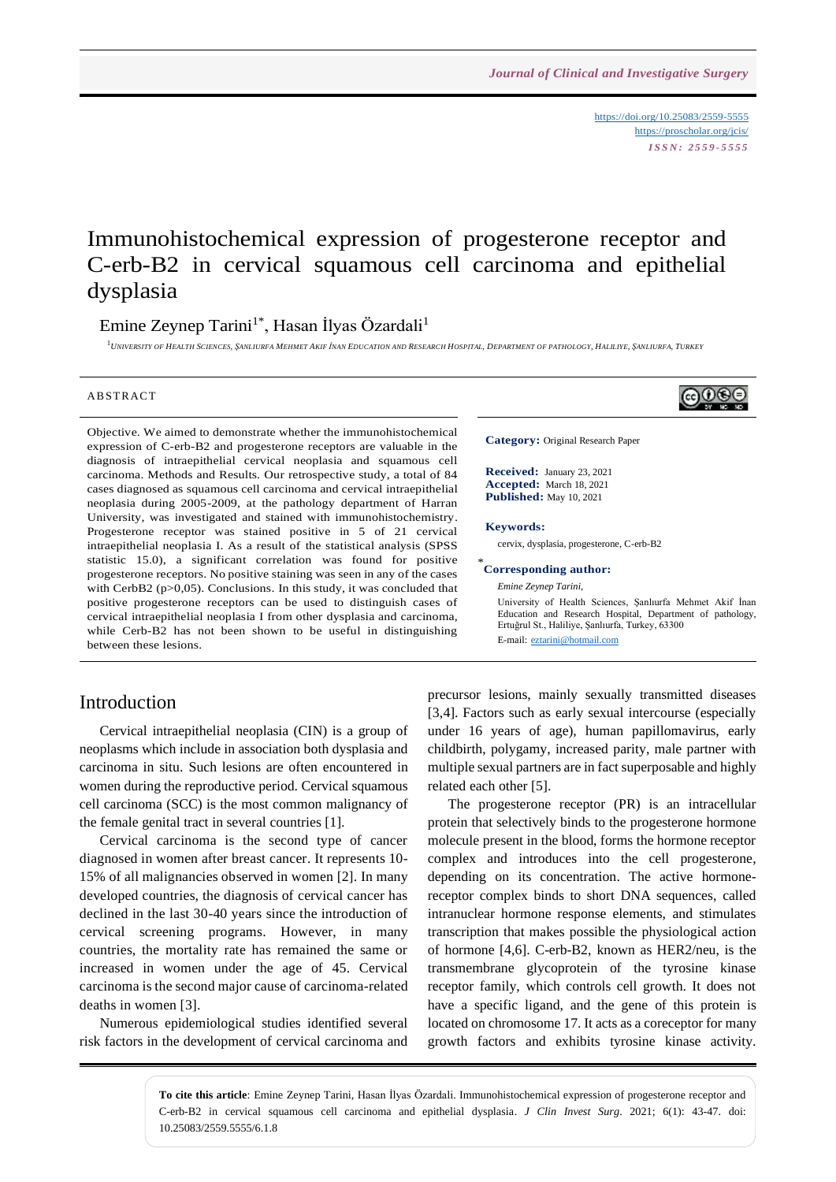<https://doi.org/10.25083/2559-5555> <https://proscholar.org/jcis/> *I S S N : 2 5 5 9 - 5 5 5 5*

# Immunohistochemical expression of progesterone receptor and C-erb-B2 in cervical squamous cell carcinoma and epithelial dysplasia

Emine Zeynep Tarini<sup>1\*</sup>, Hasan İlyas Özardali<sup>1</sup>

1<br>University of Health Sciences, Şanliurfa Mehmet Akif İnan Education and Research Hospital, Department of pathology, Haliliye, Şanliurfa, Turkey

#### A B STR ACT

Objective. We aimed to demonstrate whether the immunohistochemical expression of C-erb-B2 and progesterone receptors are valuable in the diagnosis of intraepithelial cervical neoplasia and squamous cell carcinoma. Methods and Results. Our retrospective study, a total of 84 cases diagnosed as squamous cell carcinoma and cervical intraepithelial neoplasia during 2005-2009, at the pathology department of Harran University, was investigated and stained with immunohistochemistry. Progesterone receptor was stained positive in 5 of 21 cervical intraepithelial neoplasia I. As a result of the statistical analysis (SPSS statistic 15.0), a significant correlation was found for positive progesterone receptors. No positive staining was seen in any of the cases with CerbB2 (p>0,05). Conclusions. In this study, it was concluded that positive progesterone receptors can be used to distinguish cases of cervical intraepithelial neoplasia I from other dysplasia and carcinoma, while Cerb-B2 has not been shown to be useful in distinguishing between these lesions.

#### Introduction

Cervical intraepithelial neoplasia (CIN) is a group of neoplasms which include in association both dysplasia and carcinoma in situ. Such lesions are often encountered in women during the reproductive period. Cervical squamous cell carcinoma (SCC) is the most common malignancy of the female genital tract in several countries [1].

Cervical carcinoma is the second type of cancer diagnosed in women after breast cancer. It represents 10- 15% of all malignancies observed in women [2]. In many developed countries, the diagnosis of cervical cancer has declined in the last 30-40 years since the introduction of cervical screening programs. However, in many countries, the mortality rate has remained the same or increased in women under the age of 45. Cervical carcinoma is the second major cause of carcinoma-related deaths in women [3].

Numerous epidemiological studies identified several risk factors in the development of cervical carcinoma and **Published:** May 10, 2021

**Category:** Original Research Paper

**Received:** January 23, 2021 **Accepted:** March 18, 2021

#### **Keywords:**

cervix, dysplasia, progesterone, C-erb-B2

#### \* **Corresponding author:**

*Emine Zeynep Tarini,* University of Health Sciences, Şanlıurfa Mehmet Akif İnan Education and Research Hospital, Department of pathology, Ertuğrul St., Haliliye, Şanlıurfa, Turkey, 63300 E-mail: [eztarini@hotmail.com](mailto:eztarini@hotmail.com)

precursor lesions, mainly sexually transmitted diseases [3,4]. Factors such as early sexual intercourse (especially under 16 years of age), human papillomavirus, early childbirth, polygamy, increased parity, male partner with multiple sexual partners are in fact superposable and highly related each other [5].

The progesterone receptor (PR) is an intracellular protein that selectively binds to the progesterone hormone molecule present in the blood, forms the hormone receptor complex and introduces into the cell progesterone, depending on its concentration. The active hormonereceptor complex binds to short DNA sequences, called intranuclear hormone response elements, and stimulates transcription that makes possible the physiological action of hormone [4,6]. C-erb-B2, known as HER2/neu, is the transmembrane glycoprotein of the tyrosine kinase receptor family, which controls cell growth. It does not have a specific ligand, and the gene of this protein is located on chromosome 17. It acts as a coreceptor for many growth factors and exhibits tyrosine kinase activity.

**To cite this article**: Emine Zeynep Tarini, Hasan İlyas Özardali. Immunohistochemical expression of progesterone receptor and C-erb-B2 in cervical squamous cell carcinoma and epithelial dysplasia. *J Clin Invest Surg*. 2021; 6(1): 43-47. doi: 10.25083/2559.5555/6.1.8

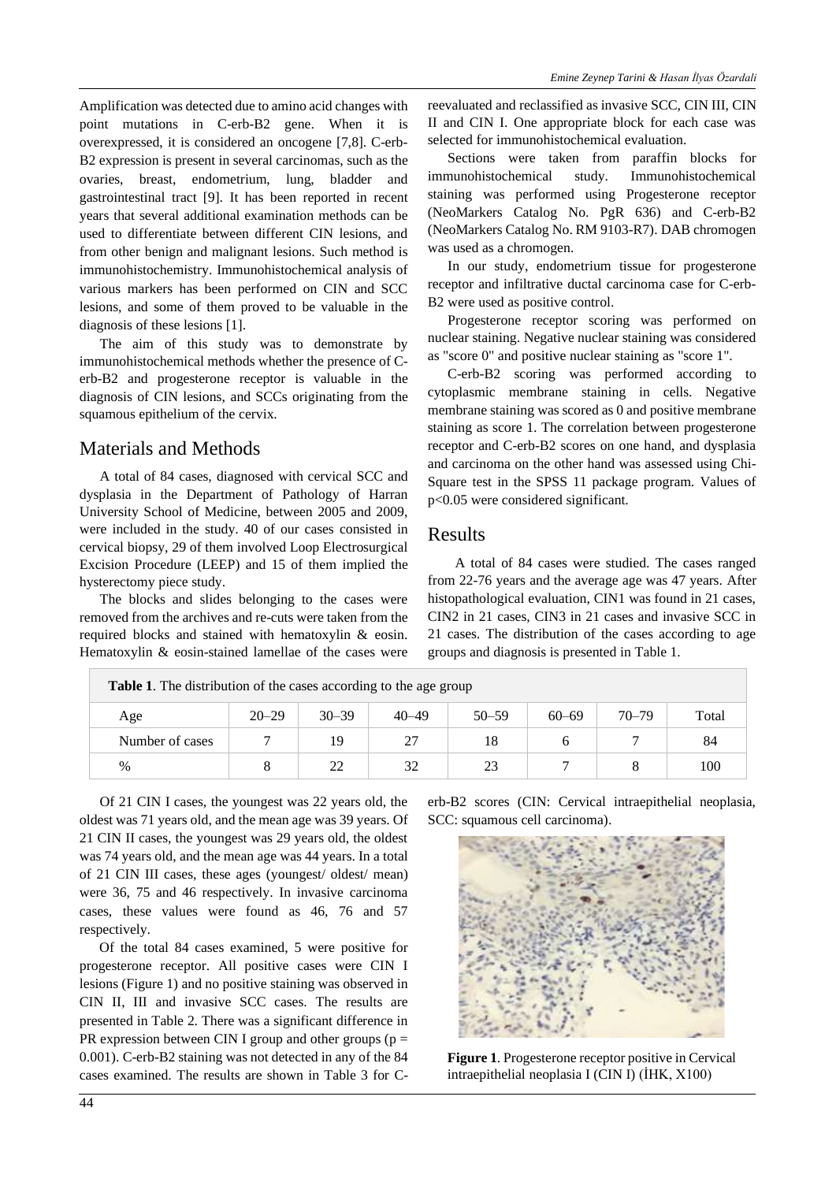Amplification was detected due to amino acid changes with point mutations in C-erb-B2 gene. When it is overexpressed, it is considered an oncogene [7,8]. C-erb-B2 expression is present in several carcinomas, such as the ovaries, breast, endometrium, lung, bladder and gastrointestinal tract [9]. It has been reported in recent years that several additional examination methods can be used to differentiate between different CIN lesions, and from other benign and malignant lesions. Such method is immunohistochemistry. Immunohistochemical analysis of various markers has been performed on CIN and SCC lesions, and some of them proved to be valuable in the diagnosis of these lesions [1].

The aim of this study was to demonstrate by immunohistochemical methods whether the presence of Cerb-B2 and progesterone receptor is valuable in the diagnosis of CIN lesions, and SCCs originating from the squamous epithelium of the cervix.

# Materials and Methods

A total of 84 cases, diagnosed with cervical SCC and dysplasia in the Department of Pathology of Harran University School of Medicine, between 2005 and 2009, were included in the study. 40 of our cases consisted in cervical biopsy, 29 of them involved Loop Electrosurgical Excision Procedure (LEEP) and 15 of them implied the hysterectomy piece study.

The blocks and slides belonging to the cases were removed from the archives and re-cuts were taken from the required blocks and stained with hematoxylin & eosin. Hematoxylin & eosin-stained lamellae of the cases were reevaluated and reclassified as invasive SCC, CIN III, CIN II and CIN I. One appropriate block for each case was selected for immunohistochemical evaluation.

Sections were taken from paraffin blocks for immunohistochemical study. Immunohistochemical staining was performed using Progesterone receptor (NeoMarkers Catalog No. PgR 636) and C-erb-B2 (NeoMarkers Catalog No. RM 9103-R7). DAB chromogen was used as a chromogen.

In our study, endometrium tissue for progesterone receptor and infiltrative ductal carcinoma case for C-erb-B2 were used as positive control.

Progesterone receptor scoring was performed on nuclear staining. Negative nuclear staining was considered as "score 0" and positive nuclear staining as "score 1".

C-erb-B2 scoring was performed according to cytoplasmic membrane staining in cells. Negative membrane staining was scored as 0 and positive membrane staining as score 1. The correlation between progesterone receptor and C-erb-B2 scores on one hand, and dysplasia and carcinoma on the other hand was assessed using Chi-Square test in the SPSS 11 package program. Values of p<0.05 were considered significant.

### Results

 A total of 84 cases were studied. The cases ranged from 22-76 years and the average age was 47 years. After histopathological evaluation, CIN1 was found in 21 cases, CIN2 in 21 cases, CIN3 in 21 cases and invasive SCC in 21 cases. The distribution of the cases according to age groups and diagnosis is presented in Table 1.

| <b>Table 1.</b> The distribution of the cases according to the age group |           |           |           |           |           |           |       |
|--------------------------------------------------------------------------|-----------|-----------|-----------|-----------|-----------|-----------|-------|
| Age                                                                      | $20 - 29$ | $30 - 39$ | $40 - 49$ | $50 - 59$ | $60 - 69$ | $70 - 79$ | Total |
| Number of cases                                                          |           | 19        | 27        |           |           |           | 84    |
| $\%$                                                                     |           | 22        | 32        | 23        |           |           | 100   |

Of 21 CIN I cases, the youngest was 22 years old, the oldest was 71 years old, and the mean age was 39 years. Of 21 CIN II cases, the youngest was 29 years old, the oldest was 74 years old, and the mean age was 44 years. In a total of 21 CIN III cases, these ages (youngest/ oldest/ mean) were 36, 75 and 46 respectively. In invasive carcinoma cases, these values were found as 46, 76 and 57 respectively.

Of the total 84 cases examined, 5 were positive for progesterone receptor. All positive cases were CIN I lesions (Figure 1) and no positive staining was observed in CIN II, III and invasive SCC cases. The results are presented in Table 2. There was a significant difference in PR expression between CIN I group and other groups ( $p =$ 0.001). C-erb-B2 staining was not detected in any of the 84 cases examined. The results are shown in Table 3 for C- erb-B2 scores (CIN: Cervical intraepithelial neoplasia, SCC: squamous cell carcinoma).



**Figure 1**. Progesterone receptor positive in Cervical intraepithelial neoplasia I (CIN I) (İHK, X100)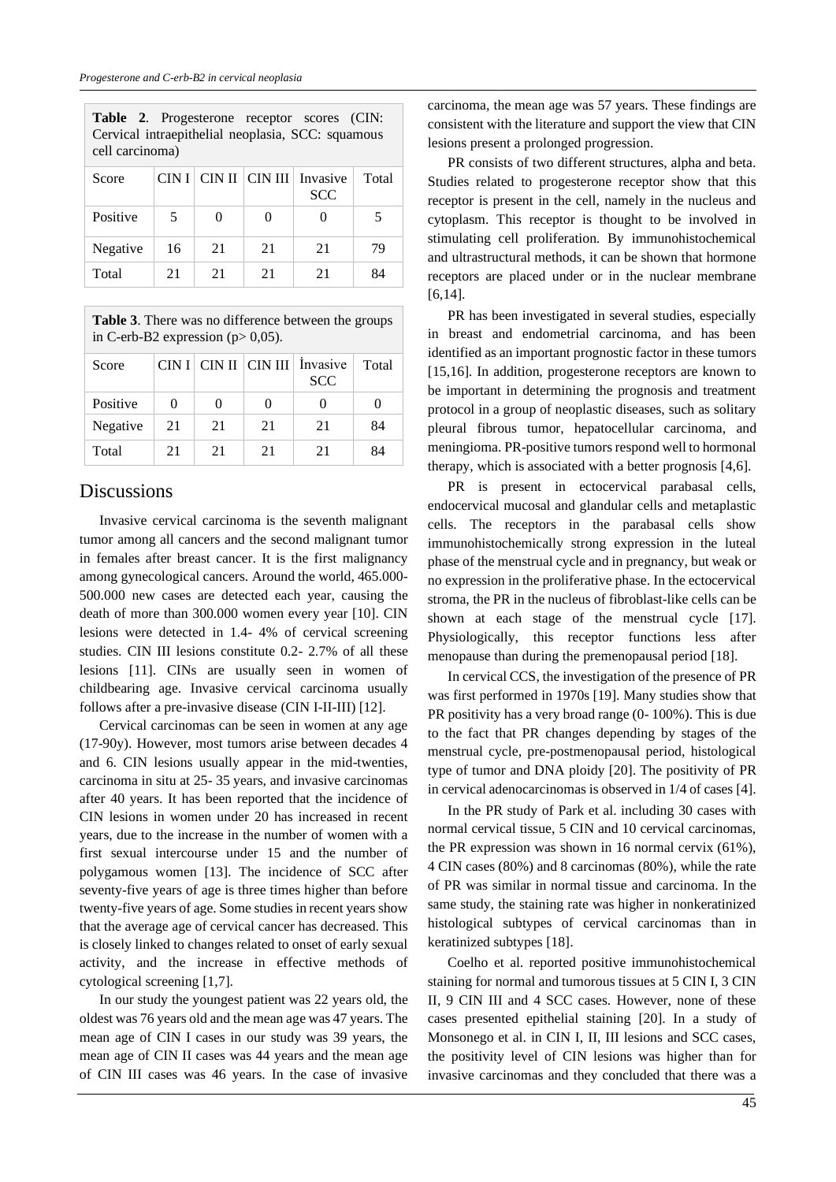E

|          | Table 2. Progesterone receptor scores (CIN:<br>Cervical intraepithelial neoplasia, SCC: squamous<br>cell carcinoma) |  |  |                                                   |       |  |  |
|----------|---------------------------------------------------------------------------------------------------------------------|--|--|---------------------------------------------------|-------|--|--|
| Score    |                                                                                                                     |  |  | CIN I   CIN II   CIN III   Invasive<br><b>SCC</b> | Total |  |  |
| Positive | -5                                                                                                                  |  |  |                                                   |       |  |  |

| --------- |    | .  |    |    |
|-----------|----|----|----|----|
| Negative  | 16 | 21 | 21 |    |
| Total     |    | 21 | 21 | 84 |
|           |    |    |    |    |

**Table 3**. There was no difference between the groups in C-erb-B2 expression ( $p$  > 0,05).

| Score    |          |          |              | $CIN I   CIN II   CIN III  $ Invasive<br><b>SCC</b> | Total |
|----------|----------|----------|--------------|-----------------------------------------------------|-------|
| Positive | $\theta$ | $\theta$ | $\mathbf{0}$ | $\theta$                                            |       |
| Negative | 21       | 21       | 21           | 21                                                  | 84    |
| Total    | 21       | 21       | 21           | 21                                                  | 84    |

#### **Discussions**

Invasive cervical carcinoma is the seventh malignant tumor among all cancers and the second malignant tumor in females after breast cancer. It is the first malignancy among gynecological cancers. Around the world, 465.000- 500.000 new cases are detected each year, causing the death of more than 300.000 women every year [10]. CIN lesions were detected in 1.4- 4% of cervical screening studies. CIN III lesions constitute 0.2- 2.7% of all these lesions [11]. CINs are usually seen in women of childbearing age. Invasive cervical carcinoma usually follows after a pre-invasive disease (CIN I-II-III) [12].

Cervical carcinomas can be seen in women at any age (17-90y). However, most tumors arise between decades 4 and 6. CIN lesions usually appear in the mid-twenties, carcinoma in situ at 25- 35 years, and invasive carcinomas after 40 years. It has been reported that the incidence of CIN lesions in women under 20 has increased in recent years, due to the increase in the number of women with a first sexual intercourse under 15 and the number of polygamous women [13]. The incidence of SCC after seventy-five years of age is three times higher than before twenty-five years of age. Some studies in recent years show that the average age of cervical cancer has decreased. This is closely linked to changes related to onset of early sexual activity, and the increase in effective methods of cytological screening [1,7].

In our study the youngest patient was 22 years old, the oldest was 76 years old and the mean age was 47 years. The mean age of CIN I cases in our study was 39 years, the mean age of CIN II cases was 44 years and the mean age of CIN III cases was 46 years. In the case of invasive carcinoma, the mean age was 57 years. These findings are consistent with the literature and support the view that CIN lesions present a prolonged progression.

PR consists of two different structures, alpha and beta. Studies related to progesterone receptor show that this receptor is present in the cell, namely in the nucleus and cytoplasm. This receptor is thought to be involved in stimulating cell proliferation. By immunohistochemical and ultrastructural methods, it can be shown that hormone receptors are placed under or in the nuclear membrane [6,14].

PR has been investigated in several studies, especially in breast and endometrial carcinoma, and has been identified as an important prognostic factor in these tumors [15,16]. In addition, progesterone receptors are known to be important in determining the prognosis and treatment protocol in a group of neoplastic diseases, such as solitary pleural fibrous tumor, hepatocellular carcinoma, and meningioma. PR-positive tumors respond well to hormonal therapy, which is associated with a better prognosis [4,6].

PR is present in ectocervical parabasal cells, endocervical mucosal and glandular cells and metaplastic cells. The receptors in the parabasal cells show immunohistochemically strong expression in the luteal phase of the menstrual cycle and in pregnancy, but weak or no expression in the proliferative phase. In the ectocervical stroma, the PR in the nucleus of fibroblast-like cells can be shown at each stage of the menstrual cycle [17]. Physiologically, this receptor functions less after menopause than during the premenopausal period [18].

In cervical CCS, the investigation of the presence of PR was first performed in 1970s [19]. Many studies show that PR positivity has a very broad range (0- 100%). This is due to the fact that PR changes depending by stages of the menstrual cycle, pre-postmenopausal period, histological type of tumor and DNA ploidy [20]. The positivity of PR in cervical adenocarcinomas is observed in 1/4 of cases [4].

In the PR study of Park et al. including 30 cases with normal cervical tissue, 5 CIN and 10 cervical carcinomas, the PR expression was shown in 16 normal cervix (61%), 4 CIN cases (80%) and 8 carcinomas (80%), while the rate of PR was similar in normal tissue and carcinoma. In the same study, the staining rate was higher in nonkeratinized histological subtypes of cervical carcinomas than in keratinized subtypes [18].

Coelho et al. reported positive immunohistochemical staining for normal and tumorous tissues at 5 CIN I, 3 CIN II, 9 CIN III and 4 SCC cases. However, none of these cases presented epithelial staining [20]. In a study of Monsonego et al. in CIN I, II, III lesions and SCC cases, the positivity level of CIN lesions was higher than for invasive carcinomas and they concluded that there was a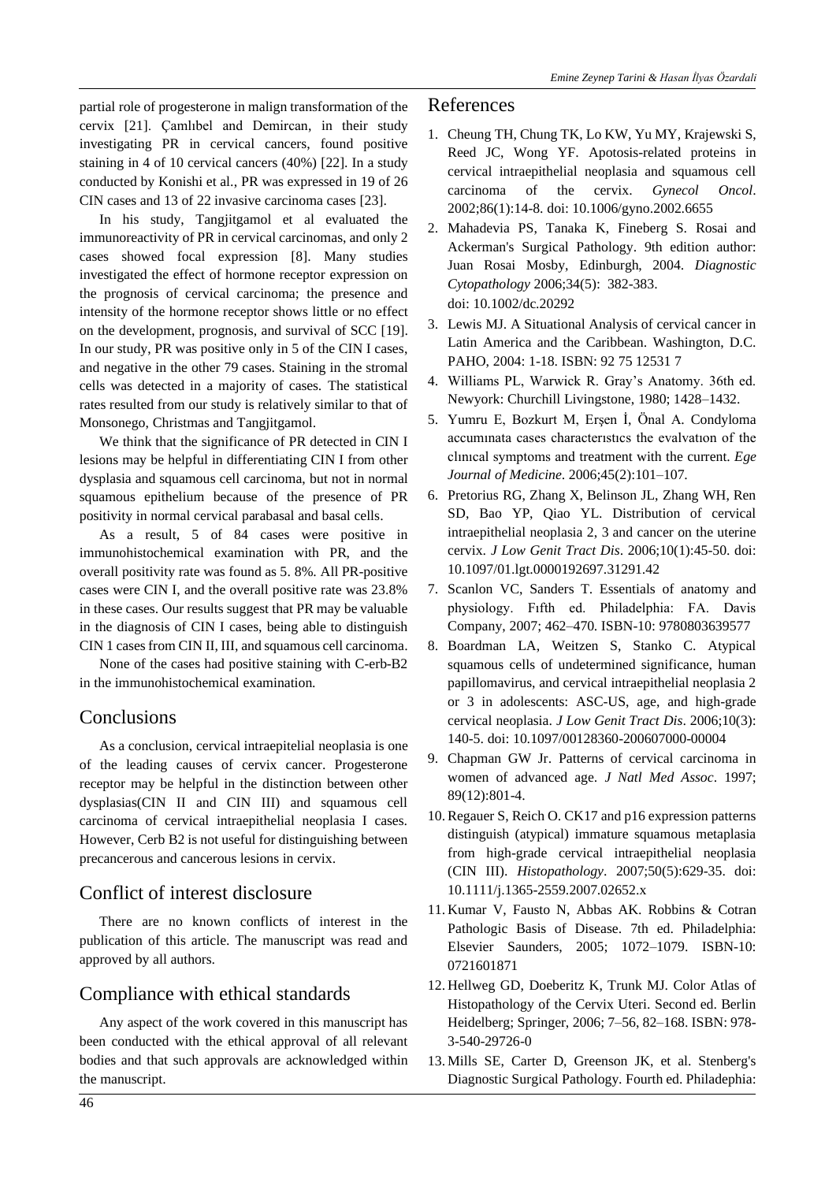partial role of progesterone in malign transformation of the cervix [21]. Çamlıbel and Demircan, in their study investigating PR in cervical cancers, found positive staining in 4 of 10 cervical cancers (40%) [22]. In a study conducted by Konishi et al., PR was expressed in 19 of 26 CIN cases and 13 of 22 invasive carcinoma cases [23].

In his study, Tangjitgamol et al evaluated the immunoreactivity of PR in cervical carcinomas, and only 2 cases showed focal expression [8]. Many studies investigated the effect of hormone receptor expression on the prognosis of cervical carcinoma; the presence and intensity of the hormone receptor shows little or no effect on the development, prognosis, and survival of SCC [19]. In our study, PR was positive only in 5 of the CIN I cases, and negative in the other 79 cases. Staining in the stromal cells was detected in a majority of cases. The statistical rates resulted from our study is relatively similar to that of Monsonego, Christmas and Tangjitgamol.

We think that the significance of PR detected in CIN I lesions may be helpful in differentiating CIN I from other dysplasia and squamous cell carcinoma, but not in normal squamous epithelium because of the presence of PR positivity in normal cervical parabasal and basal cells.

As a result, 5 of 84 cases were positive in immunohistochemical examination with PR, and the overall positivity rate was found as 5. 8%. All PR-positive cases were CIN I, and the overall positive rate was 23.8% in these cases. Our results suggest that PR may be valuable in the diagnosis of CIN I cases, being able to distinguish CIN 1 cases from CIN II, III, and squamous cell carcinoma.

None of the cases had positive staining with C-erb-B2 in the immunohistochemical examination.

## **Conclusions**

As a conclusion, cervical intraepitelial neoplasia is one of the leading causes of cervix cancer. Progesterone receptor may be helpful in the distinction between other dysplasias(CIN II and CIN III) and squamous cell carcinoma of cervical intraepithelial neoplasia I cases. However, Cerb B2 is not useful for distinguishing between precancerous and cancerous lesions in cervix.

## Conflict of interest disclosure

There are no known conflicts of interest in the publication of this article. The manuscript was read and approved by all authors.

# Compliance with ethical standards

Any aspect of the work covered in this manuscript has been conducted with the ethical approval of all relevant bodies and that such approvals are acknowledged within the manuscript.

#### References

- 1. Cheung TH, Chung TK, Lo KW, Yu MY, Krajewski S, Reed JC, Wong YF. Apotosis-related proteins in cervical intraepithelial neoplasia and squamous cell carcinoma of the cervix. *Gynecol Oncol*. 2002;86(1):14-8. doi: 10.1006/gyno.2002.6655
- 2. Mahadevia PS, Tanaka K, Fineberg S. Rosai and Ackerman's Surgical Pathology. 9th edition author: Juan Rosai Mosby, Edinburgh, 2004. *Diagnostic Cytopathology* 2006;34(5): 382-383. doi: 10.1002/dc.20292
- 3. Lewis MJ. A Situational Analysis of cervical cancer in Latin America and the Caribbean. Washington, D.C. PAHO, 2004: 1-18. ISBN: 92 75 12531 7
- 4. Williams PL, Warwick R. Gray's Anatomy. 36th ed. Newyork: Churchill Livingstone, 1980; 1428–1432.
- 5. Yumru E, Bozkurt M, Erşen İ, Önal A. Condyloma accumınata cases characterıstıcs the evalvatıon of the clınıcal symptoms and treatment with the current. *Ege Journal of Medicine*. 2006;45(2):101–107.
- 6. Pretorius RG, Zhang X, Belinson JL, Zhang WH, Ren SD, Bao YP, Qiao YL. Distribution of cervical intraepithelial neoplasia 2, 3 and cancer on the uterine cervix. *J Low Genit Tract Dis*. 2006;10(1):45-50. doi: 10.1097/01.lgt.0000192697.31291.42
- 7. Scanlon VC, Sanders T. Essentials of anatomy and physiology. Fıfth ed. Philadelphia: FA. Davis Company, 2007; 462–470. ISBN-10: 9780803639577
- 8. Boardman LA, Weitzen S, Stanko C. Atypical squamous cells of undetermined significance, human papillomavirus, and cervical intraepithelial neoplasia 2 or 3 in adolescents: ASC-US, age, and high-grade cervical neoplasia. *J Low Genit Tract Dis*. 2006;10(3): 140-5. doi: 10.1097/00128360-200607000-00004
- 9. Chapman GW Jr. Patterns of cervical carcinoma in women of advanced age. *J Natl Med Assoc*. 1997; 89(12):801-4.
- 10. Regauer S, Reich O. CK17 and p16 expression patterns distinguish (atypical) immature squamous metaplasia from high-grade cervical intraepithelial neoplasia (CIN III). *Histopathology*. 2007;50(5):629-35. doi: 10.1111/j.1365-2559.2007.02652.x
- 11. Kumar V, Fausto N, Abbas AK. Robbins & Cotran Pathologic Basis of Disease. 7th ed. Philadelphia: Elsevier Saunders, 2005; 1072–1079. ISBN-10: 0721601871
- 12. Hellweg GD, Doeberitz K, Trunk MJ. Color Atlas of Histopathology of the Cervix Uteri. Second ed. Berlin Heidelberg; Springer, 2006; 7–56, 82–168. ISBN: 978- 3-540-29726-0
- 13. Mills SE, Carter D, Greenson JK, et al. Stenberg's Diagnostic Surgical Pathology. Fourth ed. Philadephia: